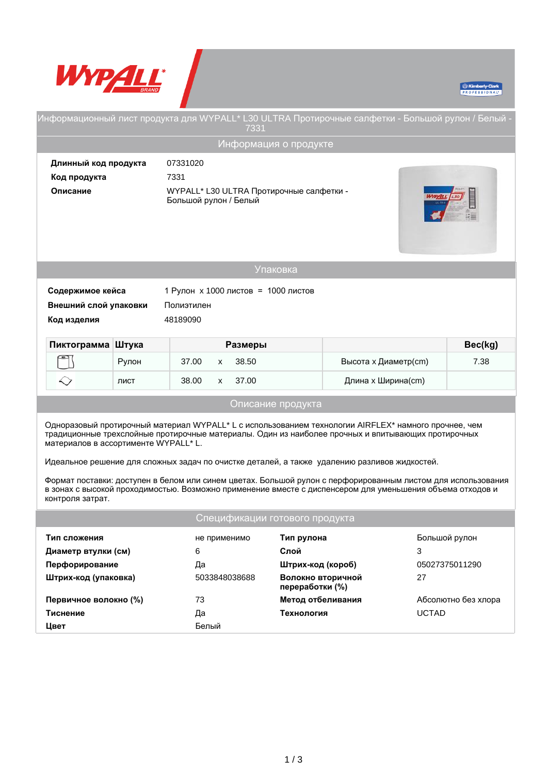



| - Информационный лист продукта для WYPALL* L30 ULTRA Протирочные салфетки - Большой рулон / Белый<br>7331                                                                                                                                                                                                                                                                                                                                                                                                                                                                                                       |                                  |                                                                   |                                  |  |                         |               |                     |  |
|-----------------------------------------------------------------------------------------------------------------------------------------------------------------------------------------------------------------------------------------------------------------------------------------------------------------------------------------------------------------------------------------------------------------------------------------------------------------------------------------------------------------------------------------------------------------------------------------------------------------|----------------------------------|-------------------------------------------------------------------|----------------------------------|--|-------------------------|---------------|---------------------|--|
|                                                                                                                                                                                                                                                                                                                                                                                                                                                                                                                                                                                                                 |                                  |                                                                   | Информация о продукте            |  |                         |               |                     |  |
|                                                                                                                                                                                                                                                                                                                                                                                                                                                                                                                                                                                                                 | Длинный код продукта<br>07331020 |                                                                   |                                  |  |                         |               |                     |  |
| Код продукта                                                                                                                                                                                                                                                                                                                                                                                                                                                                                                                                                                                                    | 7331                             |                                                                   |                                  |  |                         |               |                     |  |
| Описание                                                                                                                                                                                                                                                                                                                                                                                                                                                                                                                                                                                                        |                                  | WYPALL* L30 ULTRA Протирочные салфетки -<br>Большой рулон / Белый |                                  |  |                         |               |                     |  |
|                                                                                                                                                                                                                                                                                                                                                                                                                                                                                                                                                                                                                 |                                  |                                                                   | Упаковка                         |  |                         |               |                     |  |
| 1 Рулон х 1000 листов = 1000 листов<br>Содержимое кейса<br>Внешний слой упаковки<br>Полиэтилен<br>Код изделия<br>48189090                                                                                                                                                                                                                                                                                                                                                                                                                                                                                       |                                  |                                                                   |                                  |  |                         |               |                     |  |
| Пиктограмма Штука                                                                                                                                                                                                                                                                                                                                                                                                                                                                                                                                                                                               |                                  |                                                                   | Размеры                          |  |                         |               | Bec(kg)             |  |
|                                                                                                                                                                                                                                                                                                                                                                                                                                                                                                                                                                                                                 | Рулон                            | 37.00<br>X                                                        | 38.50                            |  | Высота х Диаметр(cm)    |               | 7.38                |  |
|                                                                                                                                                                                                                                                                                                                                                                                                                                                                                                                                                                                                                 | ЛИСТ                             | 38.00<br><b>X</b>                                                 | 37.00                            |  | Длина х Ширина(cm)      |               |                     |  |
| Описание продукта                                                                                                                                                                                                                                                                                                                                                                                                                                                                                                                                                                                               |                                  |                                                                   |                                  |  |                         |               |                     |  |
| Одноразовый протирочный материал WYPALL <sup>*</sup> L с использованием технологии AIRFLEX* намного прочнее, чем<br>традиционные трехслойные протирочные материалы. Один из наиболее прочных и впитывающих протирочных<br>материалов в ассортименте WYPALL* L.<br>Идеальное решение для сложных задач по очистке деталей, а также удалению разливов жидкостей.<br>Формат поставки: доступен в белом или синем цветах. Большой рулон с перфорированным листом для использования<br>в зонах с высокой проходимостью. Возможно применение вместе с диспенсером для уменьшения объема отходов и<br>контроля затрат. |                                  |                                                                   |                                  |  |                         |               |                     |  |
|                                                                                                                                                                                                                                                                                                                                                                                                                                                                                                                                                                                                                 |                                  |                                                                   | Спецификации готового продукта   |  |                         |               |                     |  |
| Тип сложения                                                                                                                                                                                                                                                                                                                                                                                                                                                                                                                                                                                                    |                                  |                                                                   | не применимо                     |  | Тип рулона              | Большой рулон |                     |  |
|                                                                                                                                                                                                                                                                                                                                                                                                                                                                                                                                                                                                                 | Диаметр втулки (см)              |                                                                   | 6                                |  | Слой                    |               | 3                   |  |
| Перфорирование                                                                                                                                                                                                                                                                                                                                                                                                                                                                                                                                                                                                  |                                  | Да                                                                |                                  |  | Штрих-код (короб)       |               | 05027375011290      |  |
| Штрих-код (упаковка)                                                                                                                                                                                                                                                                                                                                                                                                                                                                                                                                                                                            |                                  |                                                                   | 5033848038688<br>переработки (%) |  | Волокно вторичной<br>27 |               |                     |  |
| Первичное волокно (%)                                                                                                                                                                                                                                                                                                                                                                                                                                                                                                                                                                                           |                                  | 73                                                                |                                  |  | Метод отбеливания       |               | Абсолютно без хлора |  |
| Тиснение                                                                                                                                                                                                                                                                                                                                                                                                                                                                                                                                                                                                        |                                  | Да                                                                | Технология                       |  | <b>UCTAD</b>            |               |                     |  |
| Цвет                                                                                                                                                                                                                                                                                                                                                                                                                                                                                                                                                                                                            |                                  | Белый                                                             |                                  |  |                         |               |                     |  |
|                                                                                                                                                                                                                                                                                                                                                                                                                                                                                                                                                                                                                 |                                  |                                                                   |                                  |  |                         |               |                     |  |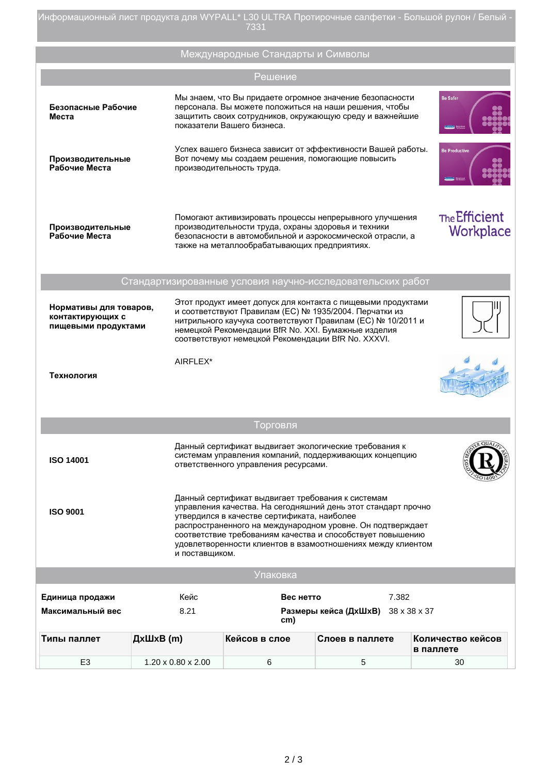Информационный лист продукта для WYPALL\* L30 ULTRA Протирочные салфетки - Большой рулон / Белый -7331

|                                                                                                                                                                                                                                                                                                                                                                                                   |                    | Международные Стандарты и Символы                                                                                                                                                                                                                                                                  |                                    |                                |  |  |  |
|---------------------------------------------------------------------------------------------------------------------------------------------------------------------------------------------------------------------------------------------------------------------------------------------------------------------------------------------------------------------------------------------------|--------------------|----------------------------------------------------------------------------------------------------------------------------------------------------------------------------------------------------------------------------------------------------------------------------------------------------|------------------------------------|--------------------------------|--|--|--|
|                                                                                                                                                                                                                                                                                                                                                                                                   |                    | Решение                                                                                                                                                                                                                                                                                            |                                    |                                |  |  |  |
| Безопасные Рабочие<br>Места                                                                                                                                                                                                                                                                                                                                                                       |                    | Мы знаем, что Вы придаете огромное значение безопасности<br>персонала. Вы можете положиться на наши решения, чтобы<br>защитить своих сотрудников, окружающую среду и важнейшие<br>показатели Вашего бизнеса.                                                                                       |                                    | <b>Be Safer</b>                |  |  |  |
| Производительные<br>Рабочие Места                                                                                                                                                                                                                                                                                                                                                                 |                    | Успех вашего бизнеса зависит от эффективности Вашей работы.<br>Вот почему мы создаем решения, помогающие повысить<br>производительность труда.                                                                                                                                                     |                                    | <b>Be Productive</b>           |  |  |  |
| Производительные<br>Рабочие Места                                                                                                                                                                                                                                                                                                                                                                 |                    | Помогают активизировать процессы непрерывного улучшения<br>производительности труда, охраны здоровья и техники<br>безопасности в автомобильной и аэрокосмической отрасли, а<br>также на металлообрабатывающих предприятиях.                                                                        |                                    |                                |  |  |  |
| Стандартизированные условия научно-исследовательских работ                                                                                                                                                                                                                                                                                                                                        |                    |                                                                                                                                                                                                                                                                                                    |                                    |                                |  |  |  |
| Нормативы для товаров,<br>контактирующих с<br>пищевыми продуктами                                                                                                                                                                                                                                                                                                                                 |                    | Этот продукт имеет допуск для контакта с пищевыми продуктами<br>и соответствуют Правилам (ЕС) № 1935/2004. Перчатки из<br>нитрильного каучука соответствуют Правилам (ЕС) № 10/2011 и<br>немецкой Рекомендации BfR No. XXI. Бумажные изделия<br>соответствуют немецкой Рекомендации BfR No. XXXVI. |                                    |                                |  |  |  |
| Технология                                                                                                                                                                                                                                                                                                                                                                                        | AIRFLEX*           |                                                                                                                                                                                                                                                                                                    |                                    |                                |  |  |  |
|                                                                                                                                                                                                                                                                                                                                                                                                   |                    | Торговля                                                                                                                                                                                                                                                                                           |                                    |                                |  |  |  |
| <b>ISO 14001</b>                                                                                                                                                                                                                                                                                                                                                                                  |                    | Данный сертификат выдвигает экологические требования к<br>системам управления компаний, поддерживающих концепцию<br>ответственного управления ресурсами.                                                                                                                                           |                                    |                                |  |  |  |
| Данный сертификат выдвигает требования к системам<br>управления качества. На сегодняшний день этот стандарт прочно<br><b>ISO 9001</b><br>утвердился в качестве сертификата, наиболее<br>распространенного на международном уровне. Он подтверждает<br>соответствие требованиям качества и способствует повышению<br>удовлетворенности клиентов в взамоотношениях между клиентом<br>и поставщиком. |                    |                                                                                                                                                                                                                                                                                                    |                                    |                                |  |  |  |
|                                                                                                                                                                                                                                                                                                                                                                                                   |                    | Упаковка                                                                                                                                                                                                                                                                                           |                                    |                                |  |  |  |
| Единица продажи                                                                                                                                                                                                                                                                                                                                                                                   | Кейс               | Вес нетто                                                                                                                                                                                                                                                                                          | 7.382                              |                                |  |  |  |
| Максимальный вес                                                                                                                                                                                                                                                                                                                                                                                  | 8.21               | cm)                                                                                                                                                                                                                                                                                                | Размеры кейса (ДхШхВ) 38 х 38 х 37 |                                |  |  |  |
| ДхШхВ (m)<br>Типы паллет                                                                                                                                                                                                                                                                                                                                                                          |                    | Кейсов в слое                                                                                                                                                                                                                                                                                      | Слоев в паллете                    | Количество кейсов<br>в паллете |  |  |  |
| E <sub>3</sub>                                                                                                                                                                                                                                                                                                                                                                                    | 1.20 x 0.80 x 2.00 | 6                                                                                                                                                                                                                                                                                                  | 5                                  | 30                             |  |  |  |